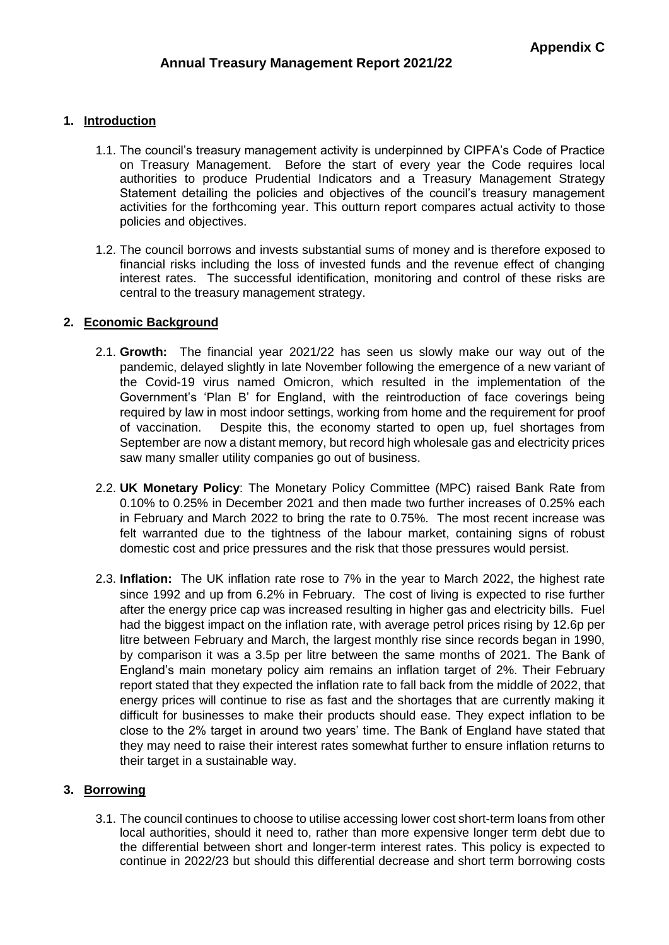# **1. Introduction**

- 1.1. The council's treasury management activity is underpinned by CIPFA's Code of Practice on Treasury Management. Before the start of every year the Code requires local authorities to produce Prudential Indicators and a Treasury Management Strategy Statement detailing the policies and objectives of the council's treasury management activities for the forthcoming year. This outturn report compares actual activity to those policies and objectives.
- 1.2. The council borrows and invests substantial sums of money and is therefore exposed to financial risks including the loss of invested funds and the revenue effect of changing interest rates. The successful identification, monitoring and control of these risks are central to the treasury management strategy.

# **2. Economic Background**

- 2.1. **Growth:** The financial year 2021/22 has seen us slowly make our way out of the pandemic, delayed slightly in late November following the emergence of a new variant of the Covid-19 virus named Omicron, which resulted in the implementation of the Government's 'Plan B' for England, with the reintroduction of face coverings being required by law in most indoor settings, working from home and the requirement for proof of vaccination. Despite this, the economy started to open up, fuel shortages from September are now a distant memory, but record high wholesale gas and electricity prices saw many smaller utility companies go out of business.
- 2.2. **UK Monetary Policy**: The Monetary Policy Committee (MPC) raised Bank Rate from 0.10% to 0.25% in December 2021 and then made two further increases of 0.25% each in February and March 2022 to bring the rate to 0.75%. The most recent increase was felt warranted due to the tightness of the labour market, containing signs of robust domestic cost and price pressures and the risk that those pressures would persist.
- 2.3. **Inflation:** The UK inflation rate rose to 7% in the year to March 2022, the highest rate since 1992 and up from 6.2% in February. The cost of living is expected to rise further after the energy price cap was increased resulting in higher gas and electricity bills. Fuel had the biggest impact on the inflation rate, with average petrol prices rising by 12.6p per litre between February and March, the largest monthly rise since records began in 1990, by comparison it was a 3.5p per litre between the same months of 2021. The Bank of England's main monetary policy aim remains an inflation target of 2%. Their February report stated that they expected the inflation rate to fall back from the middle of 2022, that energy prices will continue to rise as fast and the shortages that are currently making it difficult for businesses to make their products should ease. They expect inflation to be close to the 2% target in around two years' time. The Bank of England have stated that they may need to raise their interest rates somewhat further to ensure inflation returns to their target in a sustainable way.

# **3. Borrowing**

3.1. The council continues to choose to utilise accessing lower cost short-term loans from other local authorities, should it need to, rather than more expensive longer term debt due to the differential between short and longer-term interest rates. This policy is expected to continue in 2022/23 but should this differential decrease and short term borrowing costs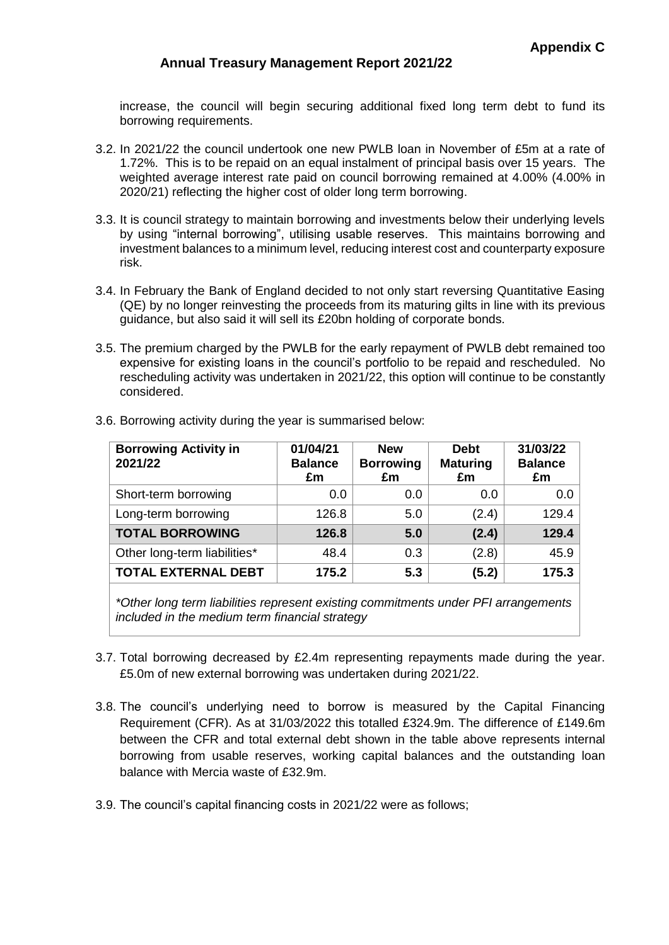increase, the council will begin securing additional fixed long term debt to fund its borrowing requirements.

- 3.2. In 2021/22 the council undertook one new PWLB loan in November of £5m at a rate of 1.72%. This is to be repaid on an equal instalment of principal basis over 15 years. The weighted average interest rate paid on council borrowing remained at 4.00% (4.00% in 2020/21) reflecting the higher cost of older long term borrowing.
- 3.3. It is council strategy to maintain borrowing and investments below their underlying levels by using "internal borrowing", utilising usable reserves. This maintains borrowing and investment balances to a minimum level, reducing interest cost and counterparty exposure risk.
- 3.4. In February the Bank of England decided to not only start reversing Quantitative Easing (QE) by no longer reinvesting the proceeds from its maturing gilts in line with its previous guidance, but also said it will sell its £20bn holding of corporate bonds.
- 3.5. The premium charged by the PWLB for the early repayment of PWLB debt remained too expensive for existing loans in the council's portfolio to be repaid and rescheduled. No rescheduling activity was undertaken in 2021/22, this option will continue to be constantly considered.

| <b>Borrowing Activity in</b><br>2021/22 | 01/04/21<br><b>Balance</b><br>£m | <b>New</b><br><b>Borrowing</b><br>£m | <b>Debt</b><br><b>Maturing</b><br>£m | 31/03/22<br><b>Balance</b><br>£m |
|-----------------------------------------|----------------------------------|--------------------------------------|--------------------------------------|----------------------------------|
| Short-term borrowing                    | 0.0                              | 0.0                                  | 0.0                                  | 0.0                              |
| Long-term borrowing                     | 126.8                            | 5.0                                  | (2.4)                                | 129.4                            |
| <b>TOTAL BORROWING</b>                  | 126.8                            | 5.0                                  | (2.4)                                | 129.4                            |
| Other long-term liabilities*            | 48.4                             | 0.3                                  | (2.8)                                | 45.9                             |
| <b>TOTAL EXTERNAL DEBT</b>              | 175.2                            | 5.3                                  | (5.2)                                | 175.3                            |

3.6. Borrowing activity during the year is summarised below:

*\*Other long term liabilities represent existing commitments under PFI arrangements included in the medium term financial strategy*

- 3.7. Total borrowing decreased by £2.4m representing repayments made during the year. £5.0m of new external borrowing was undertaken during 2021/22.
- 3.8. The council's underlying need to borrow is measured by the Capital Financing Requirement (CFR). As at 31/03/2022 this totalled £324.9m. The difference of £149.6m between the CFR and total external debt shown in the table above represents internal borrowing from usable reserves, working capital balances and the outstanding loan balance with Mercia waste of £32.9m.
- 3.9. The council's capital financing costs in 2021/22 were as follows;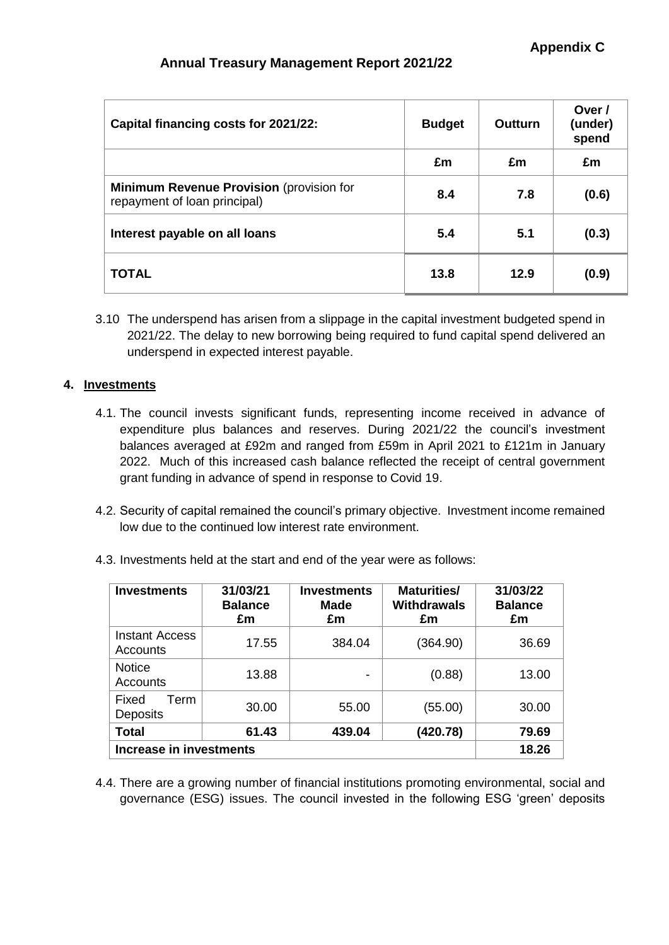| Capital financing costs for 2021/22:                                            | <b>Budget</b> | Outturn | Over /<br>(under)<br>spend |
|---------------------------------------------------------------------------------|---------------|---------|----------------------------|
|                                                                                 | £m            | £m      | £m                         |
| <b>Minimum Revenue Provision (provision for</b><br>repayment of loan principal) | 8.4           | 7.8     | (0.6)                      |
| Interest payable on all loans                                                   | 5.4           | 5.1     | (0.3)                      |
| <b>TOTAL</b>                                                                    | 13.8          | 12.9    | (0.9)                      |

3.10 The underspend has arisen from a slippage in the capital investment budgeted spend in 2021/22. The delay to new borrowing being required to fund capital spend delivered an underspend in expected interest payable.

# **4. Investments**

- 4.1. The council invests significant funds, representing income received in advance of expenditure plus balances and reserves. During 2021/22 the council's investment balances averaged at £92m and ranged from £59m in April 2021 to £121m in January 2022. Much of this increased cash balance reflected the receipt of central government grant funding in advance of spend in response to Covid 19.
- 4.2. Security of capital remained the council's primary objective. Investment income remained low due to the continued low interest rate environment.
- 4.3. Investments held at the start and end of the year were as follows:

| <b>Investments</b>                       | 31/03/21<br><b>Balance</b><br>£m | <b>Investments</b><br><b>Made</b><br>£m | <b>Maturities/</b><br><b>Withdrawals</b><br>£m | 31/03/22<br><b>Balance</b><br>£m |
|------------------------------------------|----------------------------------|-----------------------------------------|------------------------------------------------|----------------------------------|
| <b>Instant Access</b><br><b>Accounts</b> | 17.55                            | 384.04                                  | (364.90)                                       | 36.69                            |
| <b>Notice</b><br><b>Accounts</b>         | 13.88                            | $\overline{\phantom{a}}$                | (0.88)                                         | 13.00                            |
| Fixed<br>Term<br><b>Deposits</b>         | 30.00                            | 55.00                                   | (55.00)                                        | 30.00                            |
| <b>Total</b>                             | 61.43                            | 439.04                                  | (420.78)                                       | 79.69                            |
| <b>Increase in investments</b>           | 18.26                            |                                         |                                                |                                  |

4.4. There are a growing number of financial institutions promoting environmental, social and governance (ESG) issues. The council invested in the following ESG 'green' deposits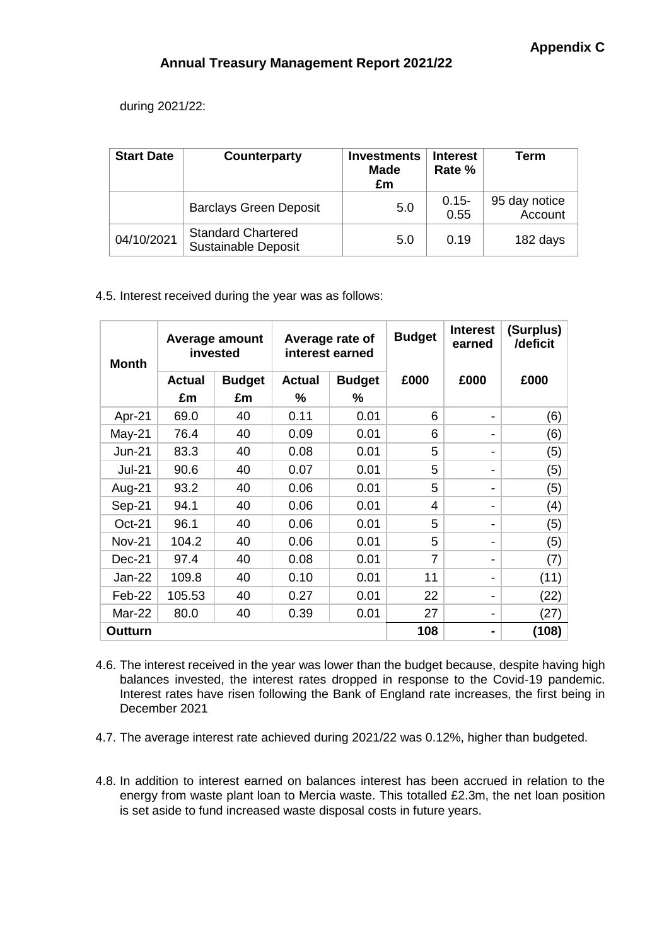during 2021/22:

| <b>Start Date</b> | Counterparty                                            | <b>Investments</b><br>Made<br>£m | <b>Interest</b><br>Rate % | Term                     |
|-------------------|---------------------------------------------------------|----------------------------------|---------------------------|--------------------------|
|                   | <b>Barclays Green Deposit</b>                           | 5.0                              | $0.15 -$<br>0.55          | 95 day notice<br>Account |
| 04/10/2021        | <b>Standard Chartered</b><br><b>Sustainable Deposit</b> | 5.0                              | 0.19                      | 182 days                 |

# 4.5. Interest received during the year was as follows:

| <b>Month</b>   | Average amount<br>invested |               | Average rate of<br>interest earned |               | <b>Budget</b> | <b>Interest</b><br>earned | (Surplus)<br>/deficit |
|----------------|----------------------------|---------------|------------------------------------|---------------|---------------|---------------------------|-----------------------|
|                | <b>Actual</b>              | <b>Budget</b> | <b>Actual</b>                      | <b>Budget</b> | £000          | £000                      | £000                  |
|                | £m                         | £m            | ℅                                  | ℅             |               |                           |                       |
| Apr-21         | 69.0                       | 40            | 0.11                               | 0.01          | 6             |                           | (6)                   |
| $May-21$       | 76.4                       | 40            | 0.09                               | 0.01          | 6             |                           | (6)                   |
| $Jun-21$       | 83.3                       | 40            | 0.08                               | 0.01          | 5             |                           | (5)                   |
| <b>Jul-21</b>  | 90.6                       | 40            | 0.07                               | 0.01          | 5             |                           | (5)                   |
| Aug-21         | 93.2                       | 40            | 0.06                               | 0.01          | 5             |                           | (5)                   |
| Sep-21         | 94.1                       | 40            | 0.06                               | 0.01          | 4             |                           | (4)                   |
| Oct-21         | 96.1                       | 40            | 0.06                               | 0.01          | 5             |                           | (5)                   |
| <b>Nov-21</b>  | 104.2                      | 40            | 0.06                               | 0.01          | 5             |                           | (5)                   |
| Dec-21         | 97.4                       | 40            | 0.08                               | 0.01          | 7             |                           | (7)                   |
| Jan-22         | 109.8                      | 40            | 0.10                               | 0.01          | 11            |                           | (11)                  |
| Feb-22         | 105.53                     | 40            | 0.27                               | 0.01          | 22            |                           | (22)                  |
| <b>Mar-22</b>  | 80.0                       | 40            | 0.39                               | 0.01          | 27            |                           | (27)                  |
| <b>Outturn</b> |                            |               |                                    |               | 108           |                           | (108)                 |

4.6. The interest received in the year was lower than the budget because, despite having high balances invested, the interest rates dropped in response to the Covid-19 pandemic. Interest rates have risen following the Bank of England rate increases, the first being in December 2021

- 4.7. The average interest rate achieved during 2021/22 was 0.12%, higher than budgeted.
- 4.8. In addition to interest earned on balances interest has been accrued in relation to the energy from waste plant loan to Mercia waste. This totalled £2.3m, the net loan position is set aside to fund increased waste disposal costs in future years.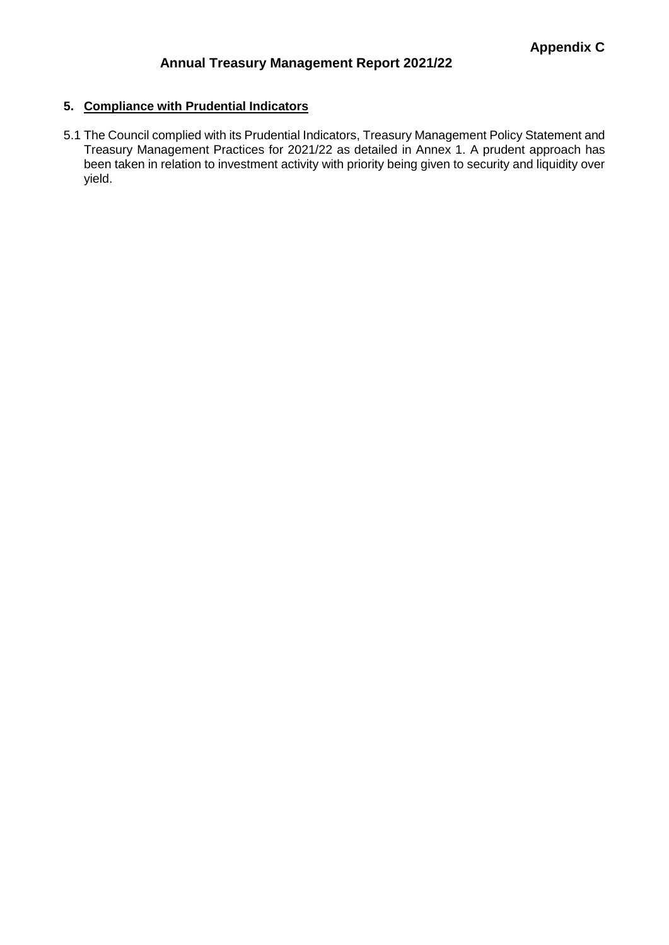# **5. Compliance with Prudential Indicators**

5.1 The Council complied with its Prudential Indicators, Treasury Management Policy Statement and Treasury Management Practices for 2021/22 as detailed in Annex 1. A prudent approach has been taken in relation to investment activity with priority being given to security and liquidity over yield.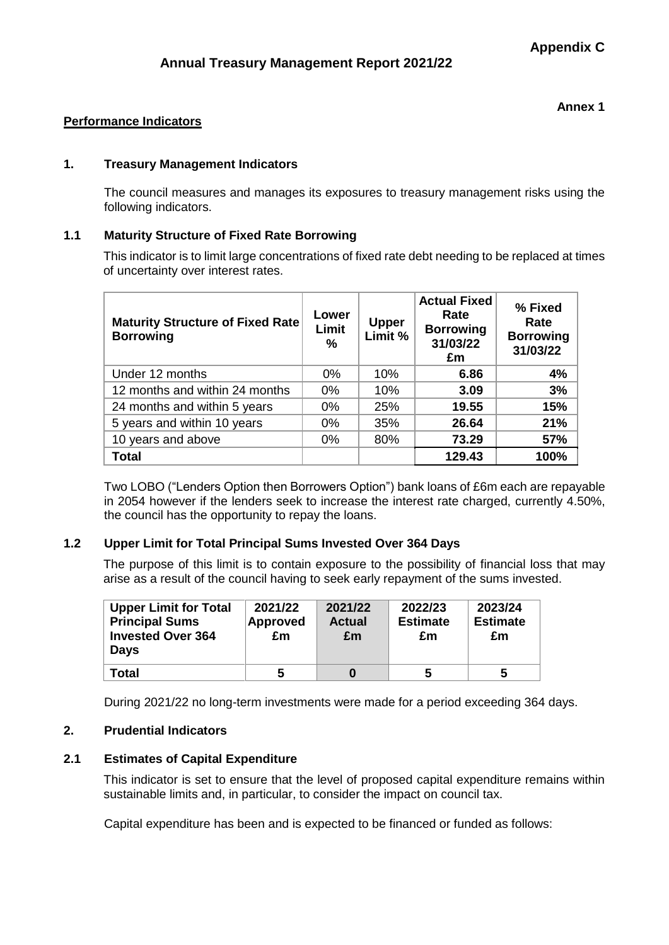#### **Annex 1**

# **Performance Indicators**

# **1. Treasury Management Indicators**

The council measures and manages its exposures to treasury management risks using the following indicators.

#### **1.1 Maturity Structure of Fixed Rate Borrowing**

This indicator is to limit large concentrations of fixed rate debt needing to be replaced at times of uncertainty over interest rates.

| <b>Maturity Structure of Fixed Rate</b><br><b>Borrowing</b> | Lower<br>Limit<br>$\%$ | <b>Upper</b><br>Limit % | <b>Actual Fixed</b><br>Rate<br><b>Borrowing</b><br>31/03/22<br>£m | % Fixed<br>Rate<br><b>Borrowing</b><br>31/03/22 |
|-------------------------------------------------------------|------------------------|-------------------------|-------------------------------------------------------------------|-------------------------------------------------|
| Under 12 months                                             | $0\%$                  | 10%                     | 6.86                                                              | 4%                                              |
| 12 months and within 24 months                              | 0%                     | 10%                     | 3.09                                                              | 3%                                              |
| 24 months and within 5 years                                | $0\%$                  | 25%                     | 19.55                                                             | 15%                                             |
| 5 years and within 10 years                                 | 0%                     | 35%                     | 26.64                                                             | 21%                                             |
| 10 years and above                                          | $0\%$                  | 80%                     | 73.29                                                             | 57%                                             |
| <b>Total</b>                                                |                        |                         | 129.43                                                            | 100%                                            |

Two LOBO ("Lenders Option then Borrowers Option") bank loans of £6m each are repayable in 2054 however if the lenders seek to increase the interest rate charged, currently 4.50%, the council has the opportunity to repay the loans.

# **1.2 Upper Limit for Total Principal Sums Invested Over 364 Days**

The purpose of this limit is to contain exposure to the possibility of financial loss that may arise as a result of the council having to seek early repayment of the sums invested.

| <b>Upper Limit for Total</b><br><b>Principal Sums</b><br><b>Invested Over 364</b><br><b>Days</b> | 2021/22<br><b>Approved</b><br>£m | 2021/22<br><b>Actual</b><br>£m | 2022/23<br><b>Estimate</b><br>£m | 2023/24<br><b>Estimate</b><br>£m |
|--------------------------------------------------------------------------------------------------|----------------------------------|--------------------------------|----------------------------------|----------------------------------|
| <b>Total</b>                                                                                     | 5                                | 0                              | 5                                | 5                                |

During 2021/22 no long-term investments were made for a period exceeding 364 days.

# **2. Prudential Indicators**

# **2.1 Estimates of Capital Expenditure**

This indicator is set to ensure that the level of proposed capital expenditure remains within sustainable limits and, in particular, to consider the impact on council tax.

Capital expenditure has been and is expected to be financed or funded as follows: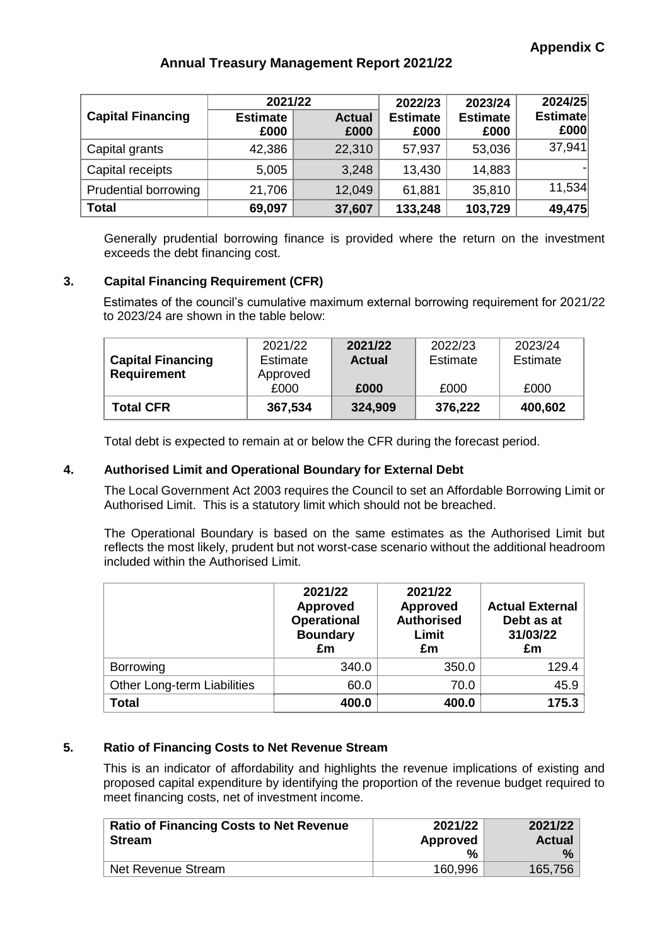|                          | 2021/22                 |                       | 2022/23                 | 2023/24                 | 2024/25                 |
|--------------------------|-------------------------|-----------------------|-------------------------|-------------------------|-------------------------|
| <b>Capital Financing</b> | <b>Estimate</b><br>£000 | <b>Actual</b><br>£000 | <b>Estimate</b><br>£000 | <b>Estimate</b><br>£000 | <b>Estimate</b><br>£000 |
| Capital grants           | 42,386                  | 22,310                | 57,937                  | 53,036                  | 37,941                  |
| Capital receipts         | 5,005                   | 3,248                 | 13,430                  | 14,883                  |                         |
| Prudential borrowing     | 21,706                  | 12,049                | 61,881                  | 35,810                  | 11,534                  |
| <b>Total</b>             | 69,097                  | 37,607                | 133,248                 | 103,729                 | 49,475                  |

Generally prudential borrowing finance is provided where the return on the investment exceeds the debt financing cost.

# **3. Capital Financing Requirement (CFR)**

Estimates of the council's cumulative maximum external borrowing requirement for 2021/22 to 2023/24 are shown in the table below:

| <b>Capital Financing</b><br><b>Requirement</b> | Estimate<br>Approved<br>£000 | <b>Actual</b><br>£000 | Estimate<br>£000 | Estimate<br>£000 |
|------------------------------------------------|------------------------------|-----------------------|------------------|------------------|
| <b>Total CFR</b>                               | 367,534                      | 324,909               | 376,222          | 400,602          |

Total debt is expected to remain at or below the CFR during the forecast period.

# **4. Authorised Limit and Operational Boundary for External Debt**

The Local Government Act 2003 requires the Council to set an Affordable Borrowing Limit or Authorised Limit. This is a statutory limit which should not be breached.

The Operational Boundary is based on the same estimates as the Authorised Limit but reflects the most likely, prudent but not worst-case scenario without the additional headroom included within the Authorised Limit.

|                             | 2021/22<br><b>Approved</b><br><b>Operational</b><br><b>Boundary</b><br>£m | 2021/22<br><b>Approved</b><br><b>Authorised</b><br>Limit<br>£m | <b>Actual External</b><br>Debt as at<br>31/03/22<br>£m |
|-----------------------------|---------------------------------------------------------------------------|----------------------------------------------------------------|--------------------------------------------------------|
| Borrowing                   | 340.0                                                                     | 350.0                                                          | 129.4                                                  |
| Other Long-term Liabilities | 60.0                                                                      | 70.0                                                           | 45.9                                                   |
| <b>Total</b>                | 400.0                                                                     | 400.0                                                          | 175.3                                                  |

# **5. Ratio of Financing Costs to Net Revenue Stream**

This is an indicator of affordability and highlights the revenue implications of existing and proposed capital expenditure by identifying the proportion of the revenue budget required to meet financing costs, net of investment income.

| <b>Ratio of Financing Costs to Net Revenue</b><br><b>Stream</b> | 2021/22<br>Approved | 2021/22<br><b>Actual</b> |  |
|-----------------------------------------------------------------|---------------------|--------------------------|--|
|                                                                 | %                   | $\frac{0}{0}$            |  |
| Net Revenue Stream                                              | 160,996             | 165,756                  |  |